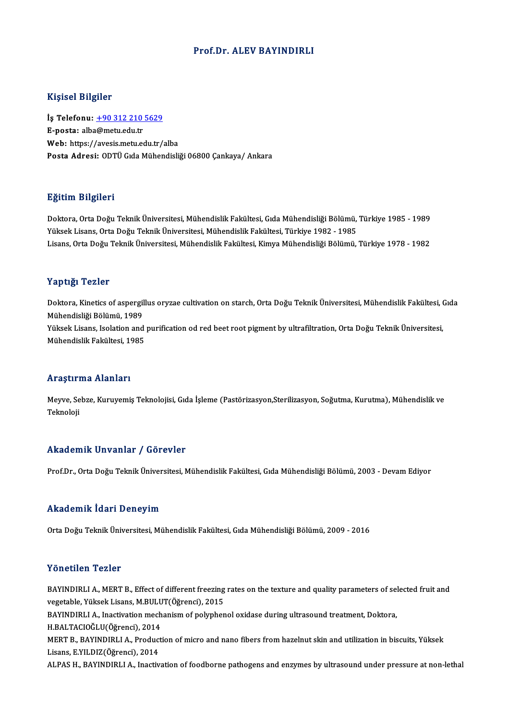### Prof.Dr. ALEV BAYINDIRLI

### Kişisel Bilgiler

Kişisel Bilgiler<br>İş Telefonu: <u>+90 312 210 5629</u><br>E nosta: alba@matu.edu.tr 11131021<br>İş Telefonu: <u>+90 312 210</u><br>E-posta: alb[a@metu.edu.tr](tel:+90 312 210 5629) E-posta: alba@metu.edu.tr<br>Web: https://avesis.metu.edu.tr/alba Posta Adresi: ODTÜ Gıda Mühendisliği 06800 Cankaya/ Ankara

### Eğitim Bilgileri

**Eğitim Bilgileri**<br>Doktora, Orta Doğu Teknik Üniversitesi, Mühendislik Fakültesi, Gıda Mühendisliği Bölümü, Türkiye 1985 - 1989<br>Yüksek Lisans, Orta Doğu Teknik Üniversitesi, Mühendislik Fakültesi, Türkiye 1982, 1985 25.<br>29. Doktora, Orta Doğu Teknik Üniversitesi, Mühendislik Fakültesi, Gıda Mühendisliği Bölümü,<br>Yüksek Lisans, Orta Doğu Teknik Üniversitesi, Mühendislik Fakültesi, Türkiye 1982 - 1985<br>Lisans, Orta Doğu Teknik Üniversites Doktora, Orta Doğu Teknik Üniversitesi, Mühendislik Fakültesi, Gıda Mühendisliği Bölümü, Türkiye 1985 - 1989<br>Yüksek Lisans, Orta Doğu Teknik Üniversitesi, Mühendislik Fakültesi, Türkiye 1982 - 1985<br>Lisans, Orta Doğu Teknik Lisans, Orta Doğu Teknik Üniversitesi, Mühendislik Fakültesi, Kimya Mühendisliği Bölümü, Türkiye 1978 - 1982<br>Yaptığı Tezler

Yaptığı Tezler<br>Doktora, Kinetics of aspergillus oryzae cultivation on starch, Orta Doğu Teknik Üniversitesi, Mühendislik Fakültesi, Gıda<br>Mühendisliği Bölümü, 1989 1 ap 1131 1211 1211 1212<br>Doktora, Kinetics of aspergil<br>Mühendisliği Bölümü, 1989<br>Vülmek Lisane, keelstien and Doktora, Kinetics of aspergillus oryzae cultivation on starch, Orta Doğu Teknik Üniversitesi, Mühendislik Fakültesi, (<br>Mühendisliği Bölümü, 1989<br>Yüksek Lisans, Isolation and purification od red beet root pigment by ultrafi Mühendisliği Bölümü, 1989<br>Yüksek Lisans, Isolation and purification od red beet root pigment by ultrafiltration, Orta Doğu Teknik Üniversitesi,<br>Mühendislik Fakültesi, 1985

### Araştırma Alanları

**Araştırma Alanları**<br>Meyve, Sebze, Kuruyemiş Teknolojisi, Gıda İşleme (Pastörizasyon,Sterilizasyon, Soğutma, Kurutma), Mühendislik ve mayen<br>Meyve, Se<br>Teknoloji

# Akademik Unvanlar / Görevler

Prof.Dr., Orta Doğu Teknik Üniversitesi, Mühendislik Fakültesi, Gıda Mühendisliği Bölümü, 2003 - Devam Ediyor

### Akademik İdari Deneyim

Orta Doğu Teknik Üniversitesi, Mühendislik Fakültesi, Gıda Mühendisliği Bölümü, 2009 - 2016

### Yönetilen Tezler

Yönetilen Tezler<br>BAYINDIRLI A., MERT B., Effect of different freezing rates on the texture and quality parameters of selected fruit and<br>vegatable Viltaek Lisans M BULUT(Öğrensi), 2015 1 SILSEILEI († 1 SILST)<br>BAYINDIRLI A., MERT B., Effect of different freezing<br>vegetable, Yüksek Lisans, M.BULUT(Öğrenci), 2015<br>BAYINDIBLLA, Inestivation meshanism of nekmbor BAYINDIRLI A., MERT B., Effect of different freezing rates on the texture and quality parameters of sel<br>vegetable, Yüksek Lisans, M.BULUT(Öğrenci), 2015<br>BAYINDIRLI A., Inactivation mechanism of polyphenol oxidase during ul vegetable, Yüksek Lisans, M.BULUT(Öğrenci), 2015<br>BAYINDIRLI A., Inactivation mechanism of polyphenol oxidase during ultrasound treatment, Doktora,<br>H.BALTACIOĞLU(Öğrenci), 2014 BAYINDIRLI A., Inactivation mechanism of polyphenol oxidase during ultrasound treatment, Doktora,<br>H.BALTACIOĞLU(Öğrenci), 2014<br>MERT B., BAYINDIRLI A., Production of micro and nano fibers from hazelnut skin and utilization H.BALTACIOĞLU(Öğrenci), 2014<br>MERT B., BAYINDIRLI A., Product<br>Lisans, E.YILDIZ(Öğrenci), 2014<br>ALBAS H., BAYINDIRLLA, İnastiy MERT B., BAYINDIRLI A., Production of micro and nano fibers from hazelnut skin and utilization in biscuits, Yüksek<br>Lisans, E.YILDIZ(Öğrenci), 2014<br>ALPAS H., BAYINDIRLI A., Inactivation of foodborne pathogens and enzymes by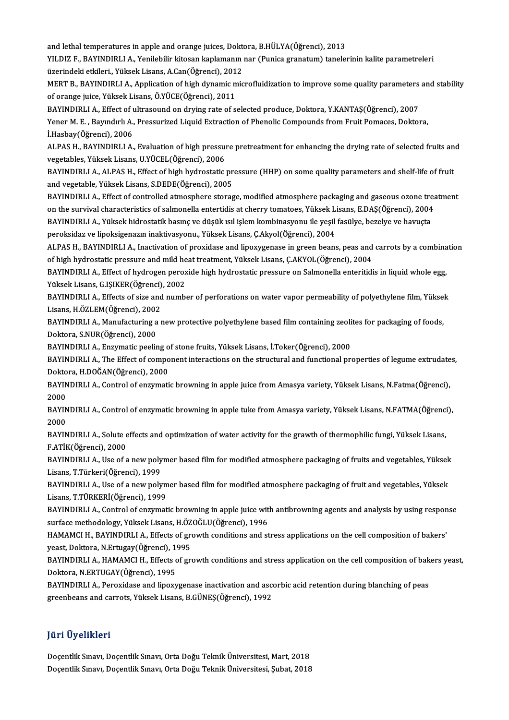and lethal temperatures in apple and orange juices, Doktora, B.HÜLYA(Öğrenci), 2013<br>VU DIZ E. RAVINDIRLLA, Vonilebilir kitoson kaplamanın nav (Dunise granatum) tanala

YILDIZ F., BAYINDIRLI A., Yenilebilir kitosan kaplamanın nar (Punica granatum) tanelerinin kalite parametreleri and lethal temperatures in apple and orange juices, Dokt<br>YILDIZ F., BAYINDIRLI A., Yenilebilir kitosan kaplamanın<br>üzerindeki etkileri., Yüksek Lisans, A.Can(Öğrenci), 2012<br>MERT B. PAYINDIBLLA, Application of bigh dynamis m YILDIZ F., BAYINDIRLI A., Yenilebilir kitosan kaplamanın nar (Punica granatum) tanelerinin kalite parametreleri<br>üzerindeki etkileri., Yüksek Lisans, A.Can(Öğrenci), 2012<br>MERT B., BAYINDIRLI A., Application of high dynamic

üzerindeki etkileri., Yüksek Lisans, A.Can(Öğrenci), 2012<br>MERT B., BAYINDIRLI A., Application of high dynamic microfluidization to improve some quality parameters<br>of orange juice, Yüksek Lisans, Ö.YÜCE(Öğrenci), 2011<br>BAYIN MERT B., BAYINDIRLI A., Application of high dynamic microfluidization to improve some quality parameters<br>of orange juice, Yüksek Lisans, Ö.YÜCE(Öğrenci), 2011<br>BAYINDIRLI A., Effect of ultrasound on drying rate of selected

of orange juice, Yüksek Lisans, Ö.YÜCE(Öğrenci), 2011<br>BAYINDIRLI A., Effect of ultrasound on drying rate of selected produce, Doktora, Y.KANTAŞ(Öğrenci), 2007<br>Yener M. E. , Bayındırlı A., Pressurized Liquid Extraction of P **BAYINDIRLI A., Effect of 1**<br>Yener M. E. , Bayındırlı A.,<br>İ.Hasbay(Öğrenci), 2006<br>ALBAS H., BAYINDIRLI A. Yener M. E. , Bayındırlı A., Pressurized Liquid Extraction of Phenolic Compounds from Fruit Pomaces, Doktora,<br>İ.Hasbay(Öğrenci), 2006<br>ALPAS H., BAYINDIRLI A., Evaluation of high pressure pretreatment for enhancing the dryi

İ.Hasbay(Öğrenci), 2006<br>ALPAS H., BAYINDIRLI A., Evaluation of high pressu:<br>vegetables, Yüksek Lisans, U.YÜCEL(Öğrenci), 2006<br>BAYINDIBLLA, ALBAS H., Effect of high hydrostatis. ALPAS H., BAYINDIRLI A., Evaluation of high pressure pretreatment for enhancing the drying rate of selected fruits and<br>vegetables, Yüksek Lisans, U.YÜCEL(Öğrenci), 2006<br>BAYINDIRLI A., ALPAS H., Effect of high hydrostatic p

vegetables, Yüksek Lisans, U.YÜCEL(Öğrenci), 2006<br>BAYINDIRLI A., ALPAS H., Effect of high hydrostatic pr<br>and vegetable, Yüksek Lisans, S.DEDE(Öğrenci), 2005<br>BAYINDIBLLA, Effect of santralled atmosphere starse

BAYINDIRLI A., Effect of controlled atmosphere storage, modified atmosphere packaging and gaseous ozone treatment and vegetable, Yüksek Lisans, S.DEDE(Öğrenci), 2005<br>BAYINDIRLI A., Effect of controlled atmosphere storage, modified atmosphere packaging and gaseous ozone treat<br>on the survival characteristics of salmonella entertidis at BAYINDIRLI A., Effect of controlled atmosphere storage, modified atmosphere packaging and gaseous ozone tre<br>on the survival characteristics of salmonella entertidis at cherry tomatoes, Yüksek Lisans, E.DAŞ(Öğrenci), 2004<br>B on the survival characteristics of salmonella entertidis at cherry tomatoes, Yüksek L.<br>BAYINDIRLI A., Yüksek hidrostatik basınç ve düşük ısıl işlem kombinasyonu ile yeşil<br>peroksidaz ve lipoksigenazın inaktivasyonu., Yüksek

BAYINDIRLI A., Yüksek hidrostatik basınç ve düşük ısıl işlem kombinasyonu ile yeşil fasülye, bezelye ve havuçta<br>peroksidaz ve lipoksigenazın inaktivasyonu., Yüksek Lisans, Ç.Akyol(Öğrenci), 2004<br>ALPAS H., BAYINDIRLI A., In peroksidaz ve lipoksigenazın inaktivasyonu., Yüksek Lisans, Ç.Akyol(Öğrenci), 2004<br>ALPAS H., BAYINDIRLI A., Inactivation of proxidase and lipoxygenase in green beans, peas and<br>of high hydrostatic pressure and mild heat tre ALPAS H., BAYINDIRLI A., Inactivation of proxidase and lipoxygenase in green beans, peas and carrots by a combina<br>of high hydrostatic pressure and mild heat treatment, Yüksek Lisans, Ç.AKYOL(Öğrenci), 2004<br>BAYINDIRLI A., E

of high hydrostatic pressure and mild heat treatment, Yüksek Lisans, Ç.AKYOL(Öğrenci), 2004<br>BAYINDIRLI A., Effect of hydrogen peroxide high hydrostatic pressure on Salmonella enteritidis in liquid whole egg,<br>Yüksek Lisans, BAYINDIRLI A., Effect of hydrogen peroxide high hydrostatic pressure on Salmonella enteritidis in liquid whole egg,<br>Yüksek Lisans, G.IŞIKER(Öğrenci), 2002<br>BAYINDIRLI A., Effects of size and number of perforations on water

Yüksek Lisans, G.IŞIKER(Öğrenci)<br>BAYINDIRLI A., Effects of size and<br>Lisans, H.ÖZLEM(Öğrenci), 2002<br>BAYINDIBLLA, Manufacturing a 1 BAYINDIRLI A., Effects of size and number of perforations on water vapor permeability of polyethylene film, Yükse<br>Lisans, H.ÖZLEM(Öğrenci), 2002<br>BAYINDIRLI A., Manufacturing a new protective polyethylene based film contain

Lisans, H.ÖZLEM(Öğrenci), 2002<br>BAYINDIRLI A., Manufacturing a<br>Doktora, S.NUR(Öğrenci), 2000<br>BAYINDIBLLA, Engumatic poolis BAYINDIRLI A., Manufacturing a new protective polyethylene based film containing zeoli<br>Doktora, S.NUR(Öğrenci), 2000<br>BAYINDIRLI A., Enzymatic peeling of stone fruits, Yüksek Lisans, İ.Toker(Öğrenci), 2000<br>BAYINDIRLI A., En

BAYINDIRLI A., Enzymatic peeling of stone fruits, Yüksek Lisans, İ.Toker(Öğrenci), 2000

Doktora, S.NUR(Öğrenci), 2000<br>BAYINDIRLI A., Enzymatic peeling of stone fruits, Yüksek Lisans, İ.Toker(Öğrenci), 2000<br>BAYINDIRLI A., The Effect of component interactions on the structural and functional properties of legum BAYINDIRLI A., The Effect of component interactions on the structural and functional properties of legume extrudate<br>Doktora, H.DOĞAN(Öğrenci), 2000<br>BAYINDIRLI A., Control of enzymatic browning in apple juice from Amasya va

Doktora, H.DOĞAN(Öğrenci), 2000<br>BAYINDIRLI A., Control of enzymati<br>2000 BAYINDIRLI A., Control of enzymatic browning in apple juice from Amasya variety, Yüksek Lisans, N.Fatma(Öğrenci),<br>2000<br>BAYINDIRLI A., Control of enzymatic browning in apple tuke from Amasya variety, Yüksek Lisans, N.FATMA(

BAYINDIRLI A., Control of enzymatic browning in apple tuke from Amasya variety, Yüksek Lisans, N.FATMA(Öğrenci),

BAYINDIRLI A., Solute effects and optimization of water activity for the grawth of thermophilic fungi, Yüksek Lisans, F.ATİK(Öğrenci),2000 BAYINDIRLI A., Solute effects and optimization of water activity for the grawth of thermophilic fungi, Yüksek Lisans,<br>F.ATİK(Öğrenci), 2000<br>BAYINDIRLI A., Use of a new polymer based film for modified atmosphere packaging o

F.ATİK(Öğrenci), 2000<br>BAYINDIRLI A., Use of a new poly<br>Lisans, T.Türkeri(Öğrenci), 1999<br>BAYINDIBLLA, Use of a new poly BAYINDIRLI A., Use of a new polymer based film for modified atmosphere packaging of fruits and vegetables, Yüksek<br>Lisans, T.Türkeri(Öğrenci), 1999<br>BAYINDIRLI A., Use of a new polymer based film for modified atmosphere pack

Lisans, T.Türkeri(Öğrenci), 1999<br>BAYINDIRLI A., Use of a new polymer based film for modified atmosphere packaging of fruit and vegetables, Yüksek<br>Lisans, T.TÜRKERİ(Öğrenci), 1999 BAYINDIRLI A., Use of a new polymer based film for modified atmosphere packaging of fruit and vegetables, Yüksek<br>Lisans, T.TÜRKERİ(Öğrenci), 1999<br>BAYINDIRLI A., Control of enzymatic browning in apple juice with antibrownin

Lisans, T.TÜRKERİ(Öğrenci), 1999<br>BAYINDIRLI A., Control of enzymatic browning in apple juice wit<br>surface methodology, Yüksek Lisans, H.ÖZOĞLU(Öğrenci), 1996<br>HAMAMCLH, RAYINDIRLLA, Effects of grouth conditions and st BAYINDIRLI A., Control of enzymatic browning in apple juice with antibrowning agents and analysis by using respon<br>surface methodology, Yüksek Lisans, H.ÖZOĞLU(Öğrenci), 1996<br>HAMAMCI H., BAYINDIRLI A., Effects of growth con

surface methodology, Yüksek Lisans, H.ÖZOĞLU(Öğrenci), 1996<br>HAMAMCI H., BAYINDIRLI A., Effects of growth conditions and stress applications on the cell composition of bakers'<br>yeast, Doktora, N.Ertugay(Öğrenci), 1995 HAMAMCI H., BAYINDIRLI A., Effects of growth conditions and stress applications on the cell composition of bakers'<br>yeast, Doktora, N.Ertugay(Öğrenci), 1995<br>BAYINDIRLI A., HAMAMCI H., Effects of growth conditions and stress

yeast, Doktora, N.Ertugay(Öğrenci), 1<br>BAYINDIRLI A., HAMAMCI H., Effects c<br>Doktora, N.ERTUGAY(Öğrenci), 1995<br>BAYINDIBLLA, Berevidese and linew BAYINDIRLI A., HAMAMCI H., Effects of growth conditions and stress application on the cell composition of bak<br>Doktora, N.ERTUGAY(Öğrenci), 1995<br>BAYINDIRLI A., Peroxidase and lipoxygenase inactivation and ascorbic acid rete

Doktora, N.ERTUGAY(Öğrenci), 1995<br>BAYINDIRLI A., Peroxidase and lipoxygenase inactivation and ascorbic acid retention during blanching of peas<br>greenbeans and carrots, Yüksek Lisans, B.GÜNEŞ(Öğrenci), 1992

### JüriÜyelikleri

Doçentlik Sınavı, Doçentlik Sınavı, Orta Doğu Teknik Üniversitesi, Mart, 2018 Doçentlik Sınavı, Doçentlik Sınavı, Orta Doğu Teknik Üniversitesi, Şubat, 2018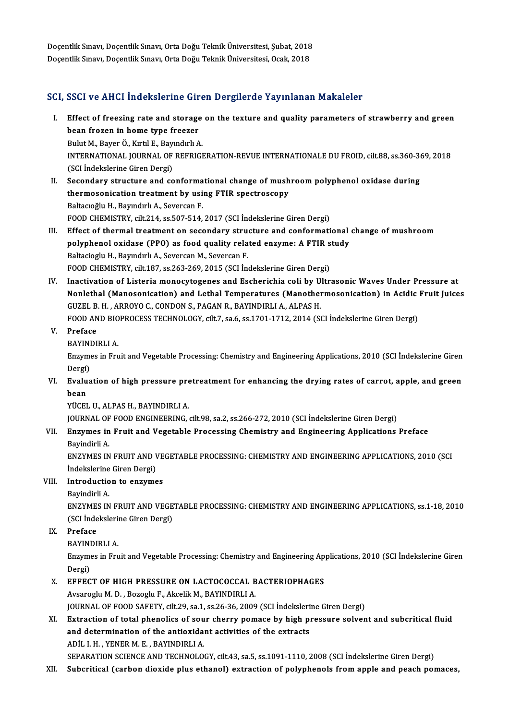Doçentlik Sınavı, Doçentlik Sınavı, Orta Doğu Teknik Üniversitesi, Şubat, 2018<br>Doçentlik Sınavı, Doçentlik Sınavı, Orta Doğu Teknik Üniversitesi, Şubat, 2018 Doçentlik Sınavı, Doçentlik Sınavı, Orta Doğu Teknik Üniversitesi, Şubat, 2018<br>Doçentlik Sınavı, Doçentlik Sınavı, Orta Doğu Teknik Üniversitesi, Ocak, 2018

# Doçentlik Sınavı, Doçentlik Sınavı, Orta Doğu Teknik Üniversitesi, Ocak, 2018<br>SCI, SSCI ve AHCI İndekslerine Giren Dergilerde Yayınlanan Makaleler

- I. SSCI ve AHCI Indekslerine Giren Dergilerde Yayınlanan Makaleler<br>I. Effect of freezing rate and storage on the texture and quality parameters of strawberry and green<br>heap fregen in hame tune freeger been ve finer in a choice include<br>Effect of freezing rate and storage<br>bean frozen in home type freezer<br>Bulut M. Bayer Ö. Kutil E. Baynadulu A Effect of freezing rate and storage<br>bean frozen in home type freezer<br>Bulut M., Bayer Ö., Kırtıl E., Bayındırlı A.<br>INTERNATIONAL JOURNAL OF REERICI bean frozen in home type freezer<br>Bulut M., Bayer Ö., Kırtıl E., Bayındırlı A.<br>INTERNATIONAL JOURNAL OF REFRIGERATION-REVUE INTERNATIONALE DU FROID, cilt.88, ss.360-369, 2018<br>(SCL İndekslerine Ciren Dergi) Bulut M., Bayer Ö., Kırtıl E., Bayı<br>INTERNATIONAL JOURNAL OF<br>(SCI İndekslerine Giren Dergi)<br>Secondaru strusture and se INTERNATIONAL JOURNAL OF REFRIGERATION-REVUE INTERNATIONALE DU FROID, cilt.88, ss.360-36<br>(SCI indekslerine Giren Dergi)<br>II. Secondary structure and conformational change of mushroom polyphenol oxidase during<br>thermogenigati
- (SCI İndekslerine Giren Dergi)<br>Secondary structure and conformational change of mush<br>thermosonication treatment by using FTIR spectroscopy<br>Beltagoğlu H. Bayndulu A. Sayaran E Secondary structure and conforma<br>thermosonication treatment by usi<br>Baltacıoğlu H., Bayındırlı A., Severcan F.<br>FOOD CHEMISTRY silt 214, 88 507 514 thermosonication treatment by using FTIR spectroscopy<br>Baltacıoğlu H., Bayındırlı A., Severcan F.<br>FOOD CHEMISTRY, cilt.214, ss.507-514, 2017 (SCI İndekslerine Giren Dergi)
- III. Effect of thermal treatment on secondary structure and conformational change of mushroom FOOD CHEMISTRY, cilt.214, ss.507-514, 2017 (SCI İndekslerine Giren Dergi)<br>Effect of thermal treatment on secondary structure and conformational<br>polyphenol oxidase (PPO) as food quality related enzyme: A FTIR study<br>Peltegio Effect of thermal treatment on secondary strup<br>polyphenol oxidase (PPO) as food quality rela<br>Baltacioglu H., Bayındırlı A., Severcan M., Severcan F.<br>FOOD CHEMISTRY silt 197, 89,363,369,3015 (SCL In polyphenol oxidase (PPO) as food quality related enzyme: A FTIR s<br>Baltacioglu H., Bayındırlı A., Severcan M., Severcan F.<br>FOOD CHEMISTRY, cilt.187, ss.263-269, 2015 (SCI İndekslerine Giren Dergi)<br>Inastivation of Listaria m Baltacioglu H., Bayındırlı A., Severcan M., Severcan F.<br>FOOD CHEMISTRY, cilt.187, ss.263-269, 2015 (SCI İndekslerine Giren Dergi)<br>IV. Inactivation of Listeria monocytogenes and Escherichia coli by Ultrasonic Waves Under Pr
- FOOD CHEMISTRY, cilt.187, ss.263-269, 2015 (SCI Indekslerine Giren Dergi)<br>Inactivation of Listeria monocytogenes and Escherichia coli by Ultrasonic Waves Under Pressure at<br>Nonlethal (Manosonication) and Lethal Temperatures Inactivation of Listeria monocytogenes and Escherichia coli by U<br>Nonlethal (Manosonication) and Lethal Temperatures (Manother<br>GUZEL B. H. , ARROYO C., CONDON S., PAGAN R., BAYINDIRLI A., ALPAS H.<br>FOOD AND PIOPPOCESS TECUNO Nonlethal (Manosonication) and Lethal Temperatures (Manothermosonication) in Acidic<br>GUZEL B. H. , ARROYO C., CONDON S., PAGAN R., BAYINDIRLI A., ALPAS H.<br>FOOD AND BIOPROCESS TECHNOLOGY, cilt.7, sa.6, ss.1701-1712, 2014 (SC FOOD AND BIO<br>Preface<br>BAYINDIRLI A.<br>Engumes in Env

## V. Preface

Preface<br>BAYINDIRLI A.<br>Enzymes in Fruit and Vegetable Processing: Chemistry and Engineering Applications, 2010 (SCI İndekslerine Giren BAYINI<br>Enzyme<br>Dergi)<br>Evalua Enzymes in Fruit and Vegetable Processing: Chemistry and Engineering Applications, 2010 (SCI İndekslerine Giren<br>Dergi)<br>VI. Evaluation of high pressure pretreatment for enhancing the drying rates of carrot, apple, and green

Dergi)<br>VI. Evaluation of high pressure pretreatment for enhancing the drying rates of carrot, apple, and green<br>hean bean<br>YÜCEL U., ALPAS H., BAYINDIRLI A.<br>JOURNAL OF FOOD ENGINEERING, cilt.98, sa.2, ss.266-272, 2010 (SCI İndekslerine Giren Dergi)<br>Engymes in Enuit and Vegetable Presessing Chemistry and Engineering Annlisations.

YÜCEL U., ALPAS H., BAYINDIRLI A.

## VII. Enzymes in Fruit and Vegetable Processing Chemistry and Engineering Applications Preface<br>Bayindirli A. JOURNAL OF<br><mark>Enzymes in</mark><br>Bayindirli A.<br>ENZYMES IN Enzymes in Fruit and Vegetable Processing Chemistry and Engineering Applications Preface<br>Bayindirli A.<br>ENZYMES IN FRUIT AND VEGETABLE PROCESSING: CHEMISTRY AND ENGINEERING APPLICATIONS, 2010 (SCI

Bayindirli A.<br>ENZYMES IN FRUIT AND \<br>İndekslerine Giren Dergi)<br>Introduction to ongume ENZYMES IN FRUIT AND VE<br>
indekslerine Giren Dergi)<br>
VIII. Introduction to enzymes<br>
Payindirli A İndekslerine<br>I**ntroductio**<br>Bayindirli A.<br>ENZYMES IN

Bayindirli A.<br>ENZYMES IN FRUIT AND VEGETABLE PROCESSING: CHEMISTRY AND ENGINEERING APPLICATIONS, ss.1-18, 2010 Bayindirli A.<br>ENZYMES IN FRUIT AND VEGE<br>(SCI İndekslerine Giren Dergi)<br>Proface (SCI İndeksleri)<br><mark>Preface</mark><br>BAYINDIRLI A.<br>Engumes in Env

# IX. Preface

Preface<br>BAYINDIRLI A.<br>Enzymes in Fruit and Vegetable Processing: Chemistry and Engineering Applications, 2010 (SCI İndekslerine Giren **BAYINI**<br>Enzyme<br>Dergi)<br>EEEEC Enzymes in Fruit and Vegetable Processing: Chemistry and Engineering App<br>Dergi)<br>X. EFFECT OF HIGH PRESSURE ON LACTOCOCCAL BACTERIOPHAGES<br>Avespecty M.D. Perecty E. Atoolit M. PAYINDIPLLA

Dergi)<br><mark>EFFECT OF HIGH PRESSURE ON LACTOCOCCAL B</mark><br>Avsaroglu M. D. , Bozoglu F., Akcelik M., BAYINDIRLI A.<br>JOUPNAL OF FOOD SAEFTY, silt 29, ss 1, ss 26, 26, 2009 Avsaroglu M. D. , Bozoglu F., Akcelik M., BAYINDIRLI A.<br>JOURNAL OF FOOD SAFETY, cilt.29, sa.1, ss.26-36, 2009 (SCI İndekslerine Giren Dergi)

## Avsaroglu M. D. , Bozoglu F., Akcelik M., BAYINDIRLI A.<br>JOURNAL OF FOOD SAFETY, cilt.29, sa.1, ss.26-36, 2009 (SCI indekslerine Giren Dergi)<br>XI. Extraction of total phenolics of sour cherry pomace by high pressure solvent JOURNAL OF FOOD SAFETY, cilt.29, sa.1, ss.26-36, 2009 (SCI Indeksleri<br>Extraction of total phenolics of sour cherry pomace by high pi<br>and determination of the antioxidant activities of the extracts<br>ADU J H – VENER M E – PAV Extraction of total phenolics of sou<br>and determination of the antioxida:<br>ADİL I.H., YENER M.E., BAYINDIRLI A.<br>SERARATION SCIENCE AND TECUNOLO and determination of the antioxidant activities of the extracts<br>ADİL I. H. , YENER M. E. , BAYINDIRLI A.<br>SEPARATION SCIENCE AND TECHNOLOGY, cilt.43, sa.5, ss.1091-1110, 2008 (SCI İndekslerine Giren Dergi)

XII. Subcritical (carbon dioxide plus ethanol) extraction of polyphenols from apple and peach pomaces,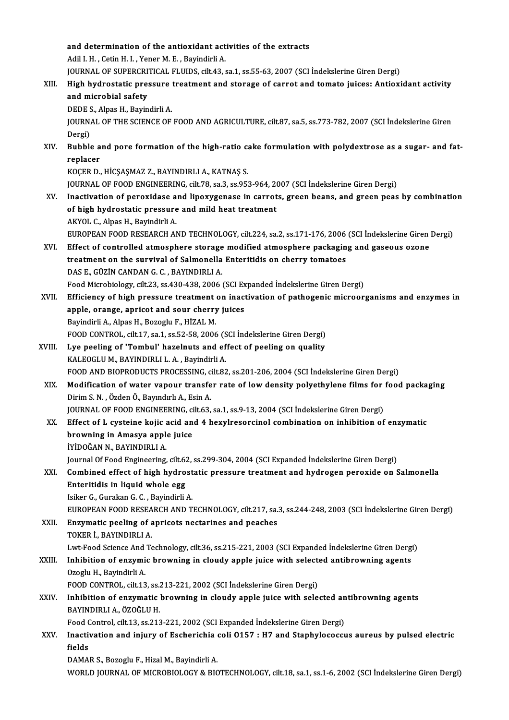|        | and determination of the antioxidant activities of the extracts                                                                                  |
|--------|--------------------------------------------------------------------------------------------------------------------------------------------------|
|        | Adil I. H., Cetin H. I., Yener M. E., Bayindirli A.                                                                                              |
|        | JOURNAL OF SUPERCRITICAL FLUIDS, cilt.43, sa.1, ss.55-63, 2007 (SCI Indekslerine Giren Dergi)                                                    |
| XIII.  | High hydrostatic pressure treatment and storage of carrot and tomato juices: Antioxidant activity                                                |
|        | and microbial safety                                                                                                                             |
|        | DEDE S., Alpas H., Bayindirli A.                                                                                                                 |
|        | JOURNAL OF THE SCIENCE OF FOOD AND AGRICULTURE, cilt.87, sa.5, ss.773-782, 2007 (SCI Indekslerine Giren                                          |
|        | Dergi)                                                                                                                                           |
| XIV.   | Bubble and pore formation of the high-ratio cake formulation with polydextrose as a sugar- and fat-                                              |
|        | replacer                                                                                                                                         |
|        | KOÇER D., HİCŞAŞMAZ Z., BAYINDIRLI A., KATNAŞ S.                                                                                                 |
|        | JOURNAL OF FOOD ENGINEERING, cilt.78, sa.3, ss.953-964, 2007 (SCI Indekslerine Giren Dergi)                                                      |
| XV.    | Inactivation of peroxidase and lipoxygenase in carrots, green beans, and green peas by combination                                               |
|        | of high hydrostatic pressure and mild heat treatment                                                                                             |
|        | AKYOL C., Alpas H., Bayindirli A.                                                                                                                |
|        | EUROPEAN FOOD RESEARCH AND TECHNOLOGY, cilt.224, sa.2, ss.171-176, 2006 (SCI İndekslerine Giren Dergi)                                           |
| XVI.   | Effect of controlled atmosphere storage modified atmosphere packaging and gaseous ozone                                                          |
|        | treatment on the survival of Salmonella Enteritidis on cherry tomatoes                                                                           |
|        | DAS E., GÜZİN CANDAN G. C., BAYINDIRLI A.                                                                                                        |
|        | Food Microbiology, cilt.23, ss.430-438, 2006 (SCI Expanded Indekslerine Giren Dergi)                                                             |
| XVII.  | Efficiency of high pressure treatment on inactivation of pathogenic microorganisms and enzymes in                                                |
|        | apple, orange, apricot and sour cherry juices                                                                                                    |
|        | Bayindirli A., Alpas H., Bozoglu F., HİZAL M.                                                                                                    |
|        | FOOD CONTROL, cilt.17, sa.1, ss.52-58, 2006 (SCI Indekslerine Giren Dergi)                                                                       |
| XVIII. | Lye peeling of 'Tombul' hazelnuts and effect of peeling on quality                                                                               |
|        | KALEOGLU M., BAYINDIRLI L. A., Bayindirli A.                                                                                                     |
|        | FOOD AND BIOPRODUCTS PROCESSING, cilt.82, ss.201-206, 2004 (SCI İndekslerine Giren Dergi)                                                        |
| XIX.   | Modification of water vapour transfer rate of low density polyethylene films for food packaging<br>Dirim S. N., Özden Ö., Bayındırlı A., Esin A. |
|        | JOURNAL OF FOOD ENGINEERING, cilt.63, sa.1, ss.9-13, 2004 (SCI Indekslerine Giren Dergi)                                                         |
| XX.    | Effect of L cysteine kojic acid and 4 hexylresorcinol combination on inhibition of enzymatic                                                     |
|        | browning in Amasya apple juice                                                                                                                   |
|        | İYİDOĞAN N., BAYINDIRLI A.                                                                                                                       |
|        | Journal Of Food Engineering, cilt.62, ss.299-304, 2004 (SCI Expanded Indekslerine Giren Dergi)                                                   |
| XXI.   | Combined effect of high hydrostatic pressure treatment and hydrogen peroxide on Salmonella                                                       |
|        | Enteritidis in liquid whole egg                                                                                                                  |
|        | Isiker G., Gurakan G. C., Bayindirli A.                                                                                                          |
|        | EUROPEAN FOOD RESEARCH AND TECHNOLOGY, cilt.217, sa.3, ss.244-248, 2003 (SCI İndekslerine Giren Dergi)                                           |
| XXII.  | Enzymatic peeling of apricots nectarines and peaches                                                                                             |
|        | TOKER İ., BAYINDIRLI A.                                                                                                                          |
|        | Lwt-Food Science And Technology, cilt.36, ss.215-221, 2003 (SCI Expanded İndekslerine Giren Dergi)                                               |
| XXIII. | Inhibition of enzymic browning in cloudy apple juice with selected antibrowning agents                                                           |
|        | Ozoglu H., Bayindirli A.                                                                                                                         |
|        | FOOD CONTROL, cilt.13, ss.213-221, 2002 (SCI Indekslerine Giren Dergi)                                                                           |
| XXIV.  | Inhibition of enzymatic browning in cloudy apple juice with selected antibrowning agents                                                         |
|        | BAYINDIRLI A, ÖZOĞLU H.                                                                                                                          |
|        | Food Control, cilt.13, ss.213-221, 2002 (SCI Expanded Indekslerine Giren Dergi)                                                                  |
| XXV.   | Inactivation and injury of Escherichia coli 0157 : H7 and Staphylococcus aureus by pulsed electric                                               |
|        | fields                                                                                                                                           |
|        | DAMAR S., Bozoglu F., Hizal M., Bayindirli A.                                                                                                    |
|        | WORLD JOURNAL OF MICROBIOLOGY & BIOTECHNOLOGY, cilt.18, sa.1, ss.1-6, 2002 (SCI Indekslerine Giren Dergi)                                        |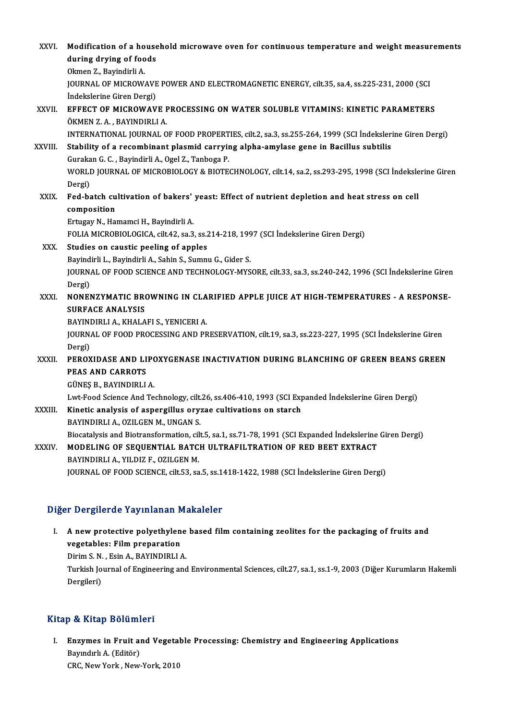| XXVI.   | Modification of a household microwave oven for continuous temperature and weight measurements<br>during drying of foods                                                                        |
|---------|------------------------------------------------------------------------------------------------------------------------------------------------------------------------------------------------|
|         | Okmen Z., Bayindirli A.<br>JOURNAL OF MICROWAVE POWER AND ELECTROMAGNETIC ENERGY, cilt.35, sa.4, ss.225-231, 2000 (SCI<br>Indekslerine Giren Dergi)                                            |
| XXVII.  | EFFECT OF MICROWAVE PROCESSING ON WATER SOLUBLE VITAMINS: KINETIC PARAMETERS<br>ÖKMEN Z. A., BAYINDIRLI A.                                                                                     |
| XXVIII. | INTERNATIONAL JOURNAL OF FOOD PROPERTIES, cilt.2, sa.3, ss.255-264, 1999 (SCI İndekslerine Giren Dergi)<br>Stability of a recombinant plasmid carrying alpha-amylase gene in Bacillus subtilis |
|         | Gurakan G. C., Bayindirli A., Ogel Z., Tanboga P.<br>WORLD JOURNAL OF MICROBIOLOGY & BIOTECHNOLOGY, cilt.14, sa.2, ss.293-295, 1998 (SCI İndekslerine Giren<br>Dergi)                          |
| XXIX.   | Fed-batch cultivation of bakers' yeast: Effect of nutrient depletion and heat stress on cell<br>composition                                                                                    |
|         | Ertugay N., Hamamci H., Bayindirli A.<br>FOLIA MICROBIOLOGICA, cilt.42, sa.3, ss.214-218, 1997 (SCI İndekslerine Giren Dergi)                                                                  |
| XXX.    | Studies on caustic peeling of apples<br>Bayindirli L., Bayindirli A., Sahin S., Sumnu G., Gider S.                                                                                             |
|         | JOURNAL OF FOOD SCIENCE AND TECHNOLOGY-MYSORE, cilt.33, sa.3, ss.240-242, 1996 (SCI Indekslerine Giren<br>Dergi)                                                                               |
| XXXI.   | NONENZYMATIC BROWNING IN CLARIFIED APPLE JUICE AT HIGH-TEMPERATURES - A RESPONSE-<br><b>SURFACE ANALYSIS</b><br>BAYINDIRLI A., KHALAFI S., YENICERI A.                                         |
|         | JOURNAL OF FOOD PROCESSING AND PRESERVATION, cilt.19, sa.3, ss.223-227, 1995 (SCI İndekslerine Giren<br>Dergi)                                                                                 |
| XXXII.  | PEROXIDASE AND LIPOXYGENASE INACTIVATION DURING BLANCHING OF GREEN BEANS GREEN<br><b>PEAS AND CARROTS</b><br>GÜNEŞ B., BAYINDIRLI A.                                                           |
| XXXIII. | Lwt-Food Science And Technology, cilt.26, ss.406-410, 1993 (SCI Expanded İndekslerine Giren Dergi)<br>Kinetic analysis of aspergillus oryzae cultivations on starch                            |
|         | BAYINDIRLI A., OZILGEN M., UNGAN S.<br>Biocatalysis and Biotransformation, cilt.5, sa.1, ss.71-78, 1991 (SCI Expanded Indekslerine Giren Dergi)                                                |
| XXXIV.  | MODELING OF SEQUENTIAL BATCH ULTRAFILTRATION OF RED BEET EXTRACT<br>BAYINDIRLI A., YILDIZ F., OZILGEN M.                                                                                       |
|         | JOURNAL OF FOOD SCIENCE, cilt.53, sa.5, ss.1418-1422, 1988 (SCI Indekslerine Giren Dergi)                                                                                                      |
|         |                                                                                                                                                                                                |

### Diğer Dergilerde Yayınlanan Makaleler

Iger Dergilerde Yayınlanan Makaleler<br>I. A new protective polyethylene based film containing zeolites for the packaging of fruits and<br>wegetables: Film preparation vergifier as any intendired<br>A new protective polyethylen<br>vegetables: Film preparation<br>Divim S N - Fein A - RAVINDIRLL A new protective polyethylene<br>vegetables: Film preparation<br>Dirim S.N., Esin A., BAYINDIRLI A.<br>Turkich Journal of Engineering and vegetables: Film preparation<br>Dirim S. N. , Esin A., BAYINDIRLI A.<br>Turkish Journal of Engineering and Environmental Sciences, cilt.27, sa.1, ss.1-9, 2003 (Diğer Kurumların Hakemli Dirim S. N.<br>Turkish Jo<br>Dergileri)

# Dergileri)<br>Kitap & Kitap Bölümleri

Itap & Kitap Bölümleri<br>I. Enzymes in Fruit and Vegetable Processing: Chemistry and Engineering Applications<br>Raymdul: A. (Editën) Bayındırlı A. (Editör)<br>CRC, New York, New-York, 2010 Enzymes in Fruit and Vegetal<br>Bayındırlı A. (Editör)<br>CRC, New York , New-York, 2010